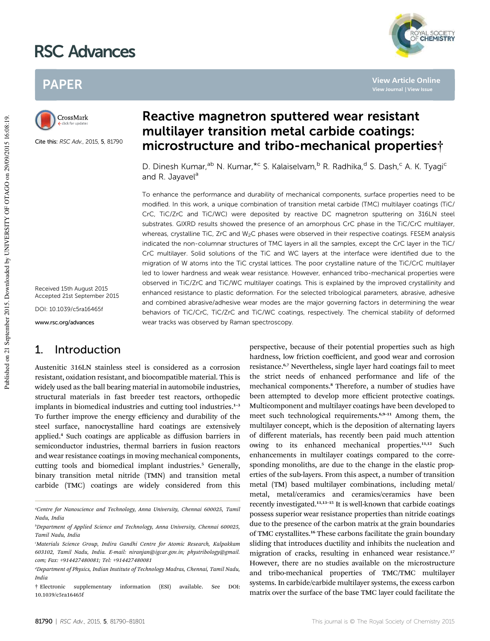# RSC Advances



**View Article Online**

# PAPER



Cite this: RSC Adv., 2015, 5, 81790

Received 15th August 2015 Accepted 21st September 2015 DOI: 10.1039/c5ra16465f

www.rsc.org/advances

### 1. Introduction

Austenitic 316LN stainless steel is considered as a corrosion resistant, oxidation resistant, and biocompatible material. This is widely used as the ball bearing material in automobile industries, structural materials in fast breeder test reactors, orthopedic implants in biomedical industries and cutting tool industries.<sup>1-3</sup> To further improve the energy efficiency and durability of the steel surface, nanocrystalline hard coatings are extensively applied.<sup>4</sup> Such coatings are applicable as diffusion barriers in semiconductor industries, thermal barriers in fusion reactors and wear resistance coatings in moving mechanical components, cutting tools and biomedical implant industries.<sup>5</sup> Generally, binary transition metal nitride (TMN) and transition metal carbide (TMC) coatings are widely considered from this

## Reactive magnetron sputtered wear resistant multilayer transition metal carbide coatings: microstructure and tribo-mechanical properties†

D. Dinesh Kumar,<sup>ab</sup> N. Kumar,<sup>\*c</sup> S. Kalaiselvam,<sup>b</sup> R. Radhika,<sup>d</sup> S. Dash,<sup>c</sup> A. K. Tyagi<sup>c</sup> and R. Jayavel<sup>a</sup>

To enhance the performance and durability of mechanical components, surface properties need to be modified. In this work, a unique combination of transition metal carbide (TMC) multilayer coatings (TiC/ CrC, TiC/ZrC and TiC/WC) were deposited by reactive DC magnetron sputtering on 316LN steel substrates. GIXRD results showed the presence of an amorphous CrC phase in the TiC/CrC multilayer, whereas, crystalline TiC, ZrC and W<sub>2</sub>C phases were observed in their respective coatings. FESEM analysis indicated the non-columnar structures of TMC layers in all the samples, except the CrC layer in the TiC/ CrC multilayer. Solid solutions of the TiC and WC layers at the interface were identified due to the migration of W atoms into the TiC crystal lattices. The poor crystalline nature of the TiC/CrC multilayer led to lower hardness and weak wear resistance. However, enhanced tribo-mechanical properties were observed in TiC/ZrC and TiC/WC multilayer coatings. This is explained by the improved crystallinity and enhanced resistance to plastic deformation. For the selected tribological parameters, abrasive, adhesive and combined abrasive/adhesive wear modes are the major governing factors in determining the wear behaviors of TiC/CrC, TiC/ZrC and TiC/WC coatings, respectively. The chemical stability of deformed wear tracks was observed by Raman spectroscopy.

> perspective, because of their potential properties such as high hardness, low friction coefficient, and good wear and corrosion resistance.<sup>6,7</sup> Nevertheless, single layer hard coatings fail to meet the strict needs of enhanced performance and life of the mechanical components.<sup>8</sup> Therefore, a number of studies have been attempted to develop more efficient protective coatings. Multicomponent and multilayer coatings have been developed to meet such technological requirements.<sup>6,9-11</sup> Among them, the multilayer concept, which is the deposition of alternating layers of different materials, has recently been paid much attention owing to its enhanced mechanical properties.<sup>11,12</sup> Such enhancements in multilayer coatings compared to the corresponding monoliths, are due to the change in the elastic properties of the sub-layers. From this aspect, a number of transition metal (TM) based multilayer combinations, including metal/ metal, metal/ceramics and ceramics/ceramics have been recently investigated.11,13–<sup>15</sup> It is well-known that carbide coatings possess superior wear resistance properties than nitride coatings due to the presence of the carbon matrix at the grain boundaries of TMC crystallites.<sup>16</sup> These carbons facilitate the grain boundary sliding that introduces ductility and inhibits the nucleation and migration of cracks, resulting in enhanced wear resistance.<sup>17</sup> However, there are no studies available on the microstructure and tribo-mechanical properties of TMC/TMC multilayer systems. In carbide/carbide multilayer systems, the excess carbon matrix over the surface of the base TMC layer could facilitate the

*<sup>a</sup>Centre for Nanoscience and Technology, Anna University, Chennai 600025, Tamil Nadu, India*

*<sup>b</sup>Department of Applied Science and Technology, Anna University, Chennai 600025, Tamil Nadu, India*

*<sup>c</sup>Materials Science Group, Indira Gandhi Centre for Atomic Research, Kalpakkam 603102, Tamil Nadu, India. E-mail: niranjan@igcar.gov.in; phystribology@gmail. com; Fax: +914427480081; Tel: +914427480081*

*<sup>d</sup>Department of Physics, Indian Institute of Technology Madras, Chennai, Tamil Nadu, India*

<sup>†</sup> Electronic supplementary information (ESI) available. See DOI: 10.1039/c5ra16465f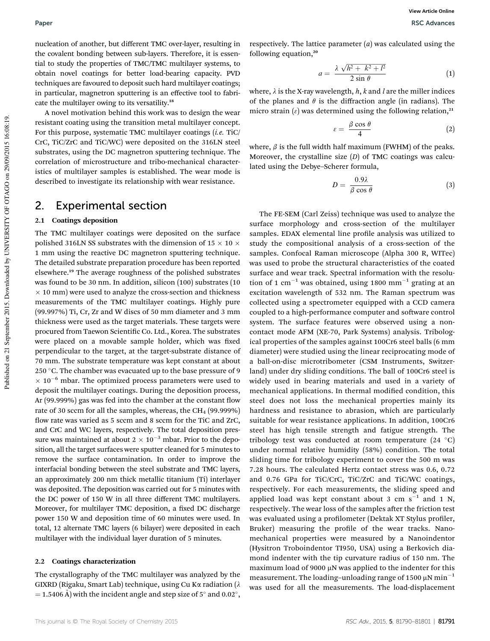nucleation of another, but different TMC over-layer, resulting in the covalent bonding between sub-layers. Therefore, it is essential to study the properties of TMC/TMC multilayer systems, to obtain novel coatings for better load-bearing capacity. PVD techniques are favoured to deposit such hard multilayer coatings; in particular, magnetron sputtering is an effective tool to fabricate the multilayer owing to its versatility.<sup>18</sup>

A novel motivation behind this work was to design the wear resistant coating using the transition metal multilayer concept. For this purpose, systematic TMC multilayer coatings (*i.e.* TiC/ CrC, TiC/ZrC and TiC/WC) were deposited on the 316LN steel substrates, using the DC magnetron sputtering technique. The correlation of microstructure and tribo-mechanical characteristics of multilayer samples is established. The wear mode is described to investigate its relationship with wear resistance.

### 2. Experimental section

#### 2.1 Coatings deposition

The TMC multilayer coatings were deposited on the surface polished 316LN SS substrates with the dimension of 15  $\times$  10  $\times$ 1 mm using the reactive DC magnetron sputtering technique. The detailed substrate preparation procedure has been reported elsewhere.<sup>19</sup> The average roughness of the polished substrates was found to be 30 nm. In addition, silicon (100) substrates (10  $\times$  10 mm) were used to analyze the cross-section and thickness measurements of the TMC multilayer coatings. Highly pure (99.997%) Ti, Cr, Zr and W discs of 50 mm diameter and 3 mm thickness were used as the target materials. These targets were procured from Taewon Scientific Co. Ltd., Korea. The substrates were placed on a movable sample holder, which was fixed perpendicular to the target, at the target-substrate distance of 70 mm. The substrate temperature was kept constant at about 250 °C. The chamber was evacuated up to the base pressure of 9  $\times$  10<sup>-6</sup> mbar. The optimized process parameters were used to deposit the multilayer coatings. During the deposition process, Ar (99.999%) gas was fed into the chamber at the constant flow rate of 30 sccm for all the samples, whereas, the  $CH_4$  (99.999%) flow rate was varied as 5 sccm and 8 sccm for the TiC and ZrC, and CrC and WC layers, respectively. The total deposition pressure was maintained at about  $2 \times 10^{-3}$  mbar. Prior to the deposition, all the target surfaces were sputter cleaned for 5 minutes to remove the surface contamination. In order to improve the interfacial bonding between the steel substrate and TMC layers, an approximately 200 nm thick metallic titanium (Ti) interlayer was deposited. The deposition was carried out for 5 minutes with the DC power of 150 W in all three different TMC multilayers. Moreover, for multilayer TMC deposition, a fixed DC discharge power 150 W and deposition time of 60 minutes were used. In total, 12 alternate TMC layers (6 bilayer) were deposited in each multilayer with the individual layer duration of 5 minutes.

#### 2.2 Coatings characterization

The crystallography of the TMC multilayer was analyzed by the GIXRD (Rigaku, Smart Lab) technique, using Cu Ka radiation ( $\lambda$  $=$  1.5406 Å) with the incident angle and step size of 5 $^{\circ}$  and 0.02 $^{\circ}$ ,

respectively. The lattice parameter (*a*) was calculated using the following equation, $20$ 

$$
a = \frac{\lambda \sqrt{h^2 + k^2 + l^2}}{2 \sin \theta} \tag{1}
$$

where,  $\lambda$  is the X-ray wavelength,  $h$ ,  $k$  and  $l$  are the miller indices of the planes and  $\theta$  is the diffraction angle (in radians). The micro strain  $(\varepsilon)$  was determined using the following relation,<sup>21</sup>

$$
\varepsilon = \frac{\beta \cos \theta}{4} \tag{2}
$$

where,  $\beta$  is the full width half maximum (FWHM) of the peaks. Moreover, the crystalline size (*D*) of TMC coatings was calculated using the Debye–Scherer formula,

$$
D = \frac{0.9\lambda}{\beta \cos \theta} \tag{3}
$$

The FE-SEM (Carl Zeiss) technique was used to analyze the surface morphology and cross-section of the multilayer samples. EDAX elemental line profile analysis was utilized to study the compositional analysis of a cross-section of the samples. Confocal Raman microscope (Alpha 300 R, WITec) was used to probe the structural characteristics of the coated surface and wear track. Spectral information with the resolution of 1  $\rm cm^{-1}$  was obtained, using 1800  $\rm mm^{-1}$  grating at an excitation wavelength of 532 nm. The Raman spectrum was collected using a spectrometer equipped with a CCD camera coupled to a high-performance computer and software control system. The surface features were observed using a noncontact mode AFM (XE-70, Park Systems) analysis. Tribological properties of the samples against 100Cr6 steel balls (6 mm diameter) were studied using the linear reciprocating mode of a ball-on-disc microtribometer (CSM Instruments, Switzerland) under dry sliding conditions. The ball of 100Cr6 steel is widely used in bearing materials and used in a variety of mechanical applications. In thermal modified condition, this steel does not loss the mechanical properties mainly its hardness and resistance to abrasion, which are particularly suitable for wear resistance applications. In addition, 100Cr6 steel has high tensile strength and fatigue strength. The tribology test was conducted at room temperature  $(24 \text{ }^{\circ}C)$ under normal relative humidity (58%) condition. The total sliding time for tribology experiment to cover the 500 m was 7.28 hours. The calculated Hertz contact stress was 0.6, 0.72 and 0.76 GPa for TiC/CrC, TiC/ZrC and TiC/WC coatings, respectively. For each measurements, the sliding speed and applied load was kept constant about 3 cm  $s^{-1}$  and 1 N, respectively. The wear loss of the samples after the friction test was evaluated using a profilometer (Dektak XT Stylus profiler, Bruker) measuring the profile of the wear tracks. Nanomechanical properties were measured by a Nanoindentor (Hysitron Troboindentor TI950, USA) using a Berkovich diamond indenter with the tip curvature radius of 150 nm. The maximum load of 9000  $\mu$ N was applied to the indenter for this measurement. The loading–unloading range of 1500  $\mu$ N min<sup>-1</sup> was used for all the measurements. The load-displacement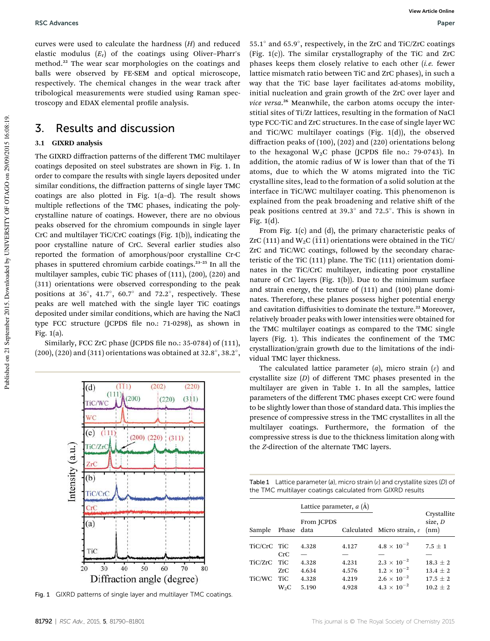curves were used to calculate the hardness (*H*) and reduced elastic modulus (*E*<sup>r</sup> ) of the coatings using Oliver–Pharr's method.<sup>22</sup> The wear scar morphologies on the coatings and balls were observed by FE-SEM and optical microscope, respectively. The chemical changes in the wear track after tribological measurements were studied using Raman spectroscopy and EDAX elemental profile analysis.

### 3. Results and discussion

#### 3.1 GIXRD analysis

The GIXRD diffraction patterns of the different TMC multilayer coatings deposited on steel substrates are shown in Fig. 1. In order to compare the results with single layers deposited under similar conditions, the diffraction patterns of single layer TMC coatings are also plotted in Fig. 1(a–d). The result shows multiple reflections of the TMC phases, indicating the polycrystalline nature of coatings. However, there are no obvious peaks observed for the chromium compounds in single layer CrC and multilayer TiC/CrC coatings (Fig. 1(b)), indicating the poor crystalline nature of CrC. Several earlier studies also reported the formation of amorphous/poor crystalline Cr-C phases in sputtered chromium carbide coatings.<sup>23-25</sup> In all the multilayer samples, cubic TiC phases of (111), (200), (220) and (311) orientations were observed corresponding to the peak positions at 36 $^{\circ}$ , 41.7 $^{\circ}$ , 60.7 $^{\circ}$  and 72.2 $^{\circ}$ , respectively. These peaks are well matched with the single layer TiC coatings deposited under similar conditions, which are having the NaCl type FCC structure (JCPDS file no.: 71-0298), as shown in Fig. 1(a).

Similarly, FCC ZrC phase (JCPDS file no.: 35-0784) of (111),  $(200), (220)$  and  $(311)$  orientations was obtained at 32.8°, 38.2°,



Fig. 1 GIXRD patterns of single layer and multilayer TMC coatings.

 $55.1^{\circ}$  and  $65.9^{\circ}$ , respectively, in the ZrC and TiC/ZrC coatings (Fig. 1(c)). The similar crystallography of the TiC and ZrC phases keeps them closely relative to each other (*i.e.* fewer lattice mismatch ratio between TiC and ZrC phases), in such a way that the TiC base layer facilitates ad-atoms mobility, initial nucleation and grain growth of the ZrC over layer and *vice versa*. <sup>26</sup> Meanwhile, the carbon atoms occupy the interstitial sites of Ti/Zr lattices, resulting in the formation of NaCl type FCC-TiC and ZrC structures. In the case of single layer WC and TiC/WC multilayer coatings (Fig. 1(d)), the observed diffraction peaks of (100), (202) and (220) orientations belong to the hexagonal  $W_2C$  phase (JCPDS file no.: 79-0743). In addition, the atomic radius of W is lower than that of the Ti atoms, due to which the W atoms migrated into the TiC crystalline sites, lead to the formation of a solid solution at the interface in TiC/WC multilayer coating. This phenomenon is explained from the peak broadening and relative shift of the peak positions centred at 39.3 $^{\circ}$  and 72.5 $^{\circ}$ . This is shown in Fig. 1(d).

From Fig. 1(c) and (d), the primary characteristic peaks of ZrC (111) and  $W_2C$  ( $\overline{1}\overline{1}$ ) orientations were obtained in the TiC/ ZrC and TiC/WC coatings, followed by the secondary characteristic of the TiC (111) plane. The TiC (111) orientation dominates in the TiC/CrC multilayer, indicating poor crystalline nature of CrC layers (Fig. 1(b)). Due to the minimum surface and strain energy, the texture of (111) and (100) plane dominates. Therefore, these planes possess higher potential energy and cavitation diffusivities to dominate the texture.<sup>22</sup> Moreover, relatively broader peaks with lower intensities were obtained for the TMC multilayer coatings as compared to the TMC single layers (Fig. 1). This indicates the confinement of the TMC crystallization/grain growth due to the limitations of the individual TMC layer thickness.

The calculated lattice parameter  $(a)$ , micro strain  $(\varepsilon)$  and crystallite size (*D*) of different TMC phases presented in the multilayer are given in Table 1. In all the samples, lattice parameters of the different TMC phases except CrC were found to be slightly lower than those of standard data. This implies the presence of compressive stress in the TMC crystallites in all the multilayer coatings. Furthermore, the formation of the compressive stress is due to the thickness limitation along with the *Z*-direction of the alternate TMC layers.

Table 1 Lattice parameter (a), micro strain ( $\varepsilon$ ) and crystallite sizes (D) of the TMC multilayer coatings calculated from GIXRD results

|             |                  | Lattice parameter, $a(A)$ |       |                                        |                                |
|-------------|------------------|---------------------------|-------|----------------------------------------|--------------------------------|
| Sample      | Phase data       | From JCPDS                |       | Calculated Micro strain, $\varepsilon$ | Crystallite<br>size, D<br>(nm) |
| TiC/CrC TiC |                  | 4.328                     | 4.127 | $4.8 \times 10^{-2}$                   | $7.5 + 1$                      |
|             | CrC              |                           |       |                                        |                                |
| TiC/ZrC     | TiC              | 4.328                     | 4.231 | $2.3 \times 10^{-2}$                   | $18.3 \pm 2$                   |
|             | ZrC              | 4.634                     | 4.576 | $1.2 \times 10^{-2}$                   | $13.4 + 2$                     |
| TiC/WC      | TiC              | 4.328                     | 4.219 | $2.6 \times 10^{-2}$                   | $17.5 + 2$                     |
|             | W <sub>2</sub> C | 5.190                     | 4.928 | $4.3 \times 10^{-2}$                   | $10.2 + 2$                     |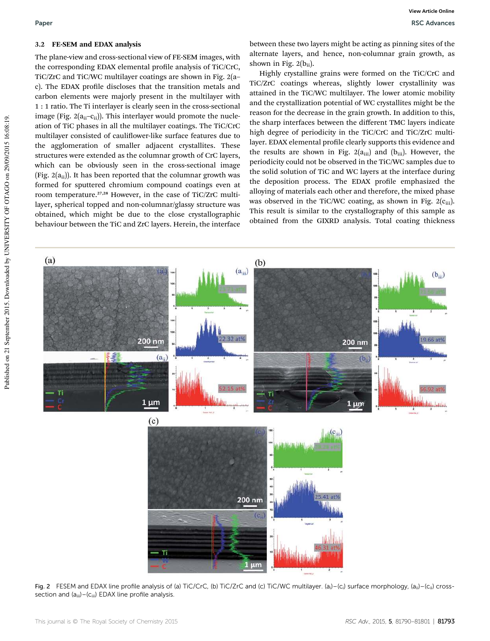#### 3.2 FE-SEM and EDAX analysis

The plane-view and cross-sectional view of FE-SEM images, with the corresponding EDAX elemental profile analysis of TiC/CrC, TiC/ZrC and TiC/WC multilayer coatings are shown in Fig. 2(a– c). The EDAX profile discloses that the transition metals and carbon elements were majorly present in the multilayer with 1 : 1 ratio. The Ti interlayer is clearly seen in the cross-sectional image (Fig.  $2(a_{ii}-c_{ii})$ ). This interlayer would promote the nucleation of TiC phases in all the multilayer coatings. The TiC/CrC multilayer consisted of cauliflower-like surface features due to the agglomeration of smaller adjacent crystallites. These structures were extended as the columnar growth of CrC layers, which can be obviously seen in the cross-sectional image (Fig.  $2(a_{ii})$ ). It has been reported that the columnar growth was formed for sputtered chromium compound coatings even at room temperature.27,28 However, in the case of TiC/ZrC multilayer, spherical topped and non-columnar/glassy structure was obtained, which might be due to the close crystallographic behaviour between the TiC and ZrC layers. Herein, the interface

between these two layers might be acting as pinning sites of the alternate layers, and hence, non-columnar grain growth, as shown in Fig.  $2(b_{ii})$ .

Highly crystalline grains were formed on the TiC/CrC and TiC/ZrC coatings whereas, slightly lower crystallinity was attained in the TiC/WC multilayer. The lower atomic mobility and the crystallization potential of WC crystallites might be the reason for the decrease in the grain growth. In addition to this, the sharp interfaces between the different TMC layers indicate high degree of periodicity in the TiC/CrC and TiC/ZrC multilayer. EDAX elemental profile clearly supports this evidence and the results are shown in Fig.  $2(a_{iii})$  and  $(b_{iii})$ . However, the periodicity could not be observed in the TiC/WC samples due to the solid solution of TiC and WC layers at the interface during the deposition process. The EDAX profile emphasized the alloying of materials each other and therefore, the mixed phase was observed in the TiC/WC coating, as shown in Fig.  $2(c_{iii})$ . This result is similar to the crystallography of this sample as obtained from the GIXRD analysis. Total coating thickness



Fig. 2 FESEM and EDAX line profile analysis of (a) TiC/CrC, (b) TiC/ZrC and (c) TiC/WC multilayer. (a<sub>i</sub>) -(c<sub>i</sub>) surface morphology, (a<sub>ii</sub>) -(c<sub>ii</sub>) crosssection and  $(a_{iii}) - (c_{iii})$  EDAX line profile analysis.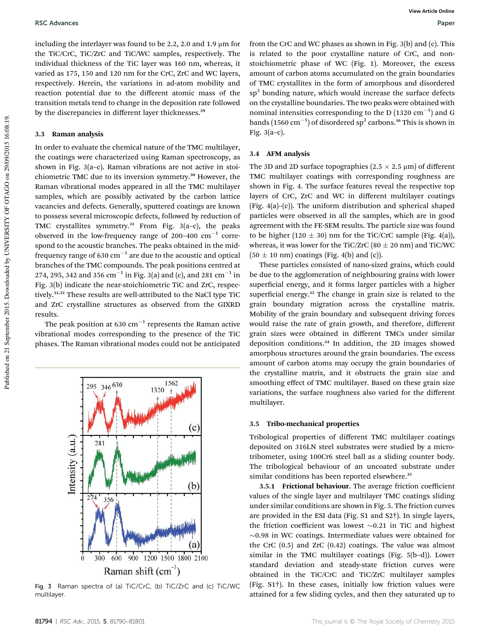including the interlayer was found to be 2.2, 2.0 and 1.9  $\mu$ m for the TiC/CrC, TiC/ZrC and TiC/WC samples, respectively. The individual thickness of the TiC layer was 160 nm, whereas, it varied as 175, 150 and 120 nm for the CrC, ZrC and WC layers, respectively. Herein, the variations in ad-atom mobility and reaction potential due to the different atomic mass of the transition metals tend to change in the deposition rate followed by the discrepancies in different layer thicknesses.<sup>29</sup>

#### 3.3 Raman analysis

In order to evaluate the chemical nature of the TMC multilayer, the coatings were characterized using Raman spectroscopy, as shown in Fig. 3(a–c). Raman vibrations are not active in stoichiometric TMC due to its inversion symmetry.<sup>30</sup> However, the Raman vibrational modes appeared in all the TMC multilayer samples, which are possibly activated by the carbon lattice vacancies and defects. Generally, sputtered coatings are known to possess several microscopic defects, followed by reduction of TMC crystallites symmetry.<sup>31</sup> From Fig. 3(a-c), the peaks observed in the low-frequency range of 200-400  $\rm cm^{-1}$  correspond to the acoustic branches. The peaks obtained in the midfrequency range of 630  $\rm cm^{-1}$  are due to the acoustic and optical branches of the TMC compounds. The peak positions centred at 274, 295, 342 and 356  $\rm cm^{-1}$  in Fig. 3(a) and (c), and 281  $\rm cm^{-1}$  in Fig. 3(b) indicate the near-stoichiometric TiC and ZrC, respectively.31,32 These results are well-attributed to the NaCl type TiC and ZrC crystalline structures as observed from the GIXRD results.

The peak position at 630  $\rm cm^{-1}$  represents the Raman active vibrational modes corresponding to the presence of the TiC phases. The Raman vibrational modes could not be anticipated



Fig. 3 Raman spectra of (a) TiC/CrC, (b) TiC/ZrC and (c) TiC/WC multilayer.

from the CrC and WC phases as shown in Fig. 3(b) and (c). This is related to the poor crystalline nature of CrC, and nonstoichiometric phase of WC (Fig. 1). Moreover, the excess amount of carbon atoms accumulated on the grain boundaries of TMC crystallites in the form of amorphous and disordered sp<sup>2</sup> bonding nature, which would increase the surface defects on the crystalline boundaries. The two peaks were obtained with nominal intensities corresponding to the D  $(1320 \text{ cm}^{-1})$  and G bands (1560  $\rm cm^{-1})$  of disordered sp<sup>2</sup> carbons.<sup>16</sup> This is shown in Fig. 3(a–c).

#### 3.4 AFM analysis

The 3D and 2D surface topographies ( $2.5 \times 2.5 \mu$ m) of different TMC multilayer coatings with corresponding roughness are shown in Fig. 4. The surface features reveal the respective top layers of CrC, ZrC and WC in different multilayer coatings (Fig. 4(a)–(c)). The uniform distribution and spherical shaped particles were observed in all the samples, which are in good agreement with the FE-SEM results. The particle size was found to be higher (120  $\pm$  30) nm for the TiC/CrC sample (Fig. 4(a)), whereas, it was lower for the TiC/ZrC (80  $\pm$  20 nm) and TiC/WC  $(50 \pm 10 \text{ nm})$  coatings (Fig. 4(b) and (c)).

These particles consisted of nano-sized grains, which could be due to the agglomeration of neighbouring grains with lower superficial energy, and it forms larger particles with a higher superficial energy.<sup>33</sup> The change in grain size is related to the grain boundary migration across the crystalline matrix. Mobility of the grain boundary and subsequent driving forces would raise the rate of grain growth, and therefore, different grain sizes were obtained in different TMCs under similar deposition conditions.<sup>34</sup> In addition, the 2D images showed amorphous structures around the grain boundaries. The excess amount of carbon atoms may occupy the grain boundaries of the crystalline matrix, and it obstructs the grain size and smoothing effect of TMC multilayer. Based on these grain size variations, the surface roughness also varied for the different multilayer.

#### 3.5 Tribo-mechanical properties

Tribological properties of different TMC multilayer coatings deposited on 316LN steel substrates were studied by a microtribometer, using 100Cr6 steel ball as a sliding counter body. The tribological behaviour of an uncoated substrate under similar conditions has been reported elsewhere.<sup>35</sup>

3.5.1 Frictional behaviour. The average friction coefficient values of the single layer and multilayer TMC coatings sliding under similar conditions are shown in Fig. 5. The friction curves are provided in the ESI data (Fig. S1 and S2†). In single layers, the friction coefficient was lowest  $\sim 0.21$  in TiC and highest  $\sim$ 0.98 in WC coatings. Intermediate values were obtained for the CrC (0.5) and ZrC (0.42) coatings. The value was almost similar in the TMC multilayer coatings (Fig. 5(b–d)). Lower standard deviation and steady-state friction curves were obtained in the TiC/CrC and TiC/ZrC multilayer samples (Fig. S1†). In these cases, initially low friction values were attained for a few sliding cycles, and then they saturated up to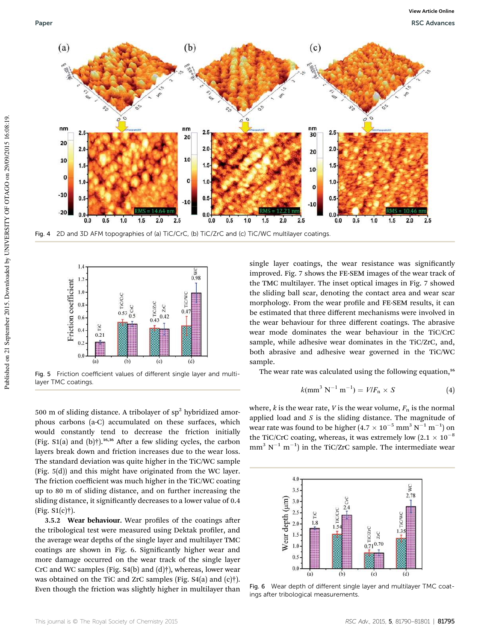



Fig. 5 Friction coefficient values of different single layer and multilayer TMC coatings.

500 m of sliding distance. A tribolayer of  $sp^2$  hybridized amorphous carbons (a-C) accumulated on these surfaces, which would constantly tend to decrease the friction initially (Fig. S1(a) and  $(b)$ †).<sup>16,36</sup> After a few sliding cycles, the carbon layers break down and friction increases due to the wear loss. The standard deviation was quite higher in the TiC/WC sample (Fig. 5(d)) and this might have originated from the WC layer. The friction coefficient was much higher in the TiC/WC coating up to 80 m of sliding distance, and on further increasing the sliding distance, it significantly decreases to a lower value of 0.4 (Fig. S1(c)†).

3.5.2 Wear behaviour. Wear profiles of the coatings after the tribological test were measured using Dektak profiler, and the average wear depths of the single layer and multilayer TMC coatings are shown in Fig. 6. Signicantly higher wear and more damage occurred on the wear track of the single layer CrC and WC samples (Fig. S4(b) and (d)†), whereas, lower wear was obtained on the TiC and ZrC samples (Fig. S4(a) and (c)†). Even though the friction was slightly higher in multilayer than

single layer coatings, the wear resistance was significantly improved. Fig. 7 shows the FE-SEM images of the wear track of the TMC multilayer. The inset optical images in Fig. 7 showed the sliding ball scar, denoting the contact area and wear scar morphology. From the wear profile and FE-SEM results, it can be estimated that three different mechanisms were involved in the wear behaviour for three different coatings. The abrasive wear mode dominates the wear behaviour in the TiC/CrC sample, while adhesive wear dominates in the TiC/ZrC, and, both abrasive and adhesive wear governed in the TiC/WC sample.

The wear rate was calculated using the following equation,<sup>16</sup>

$$
k(mm3 N-1 m-1) = V/Fn \times S
$$
 (4)

where,  $k$  is the wear rate,  $V$  is the wear volume,  $F_n$  is the normal applied load and *S* is the sliding distance. The magnitude of wear rate was found to be higher  $(4.7 \times 10^{-5} \text{ mm}^3 \text{ N}^{-1} \text{ m}^{-1})$  on the TiC/CrC coating, whereas, it was extremely low  $(2.1 \times 10^{-8})$  $mm<sup>3</sup> N<sup>-1</sup> m<sup>-1</sup>$ ) in the TiC/ZrC sample. The intermediate wear



Fig. 6 Wear depth of different single layer and multilayer TMC coatings after tribological measurements.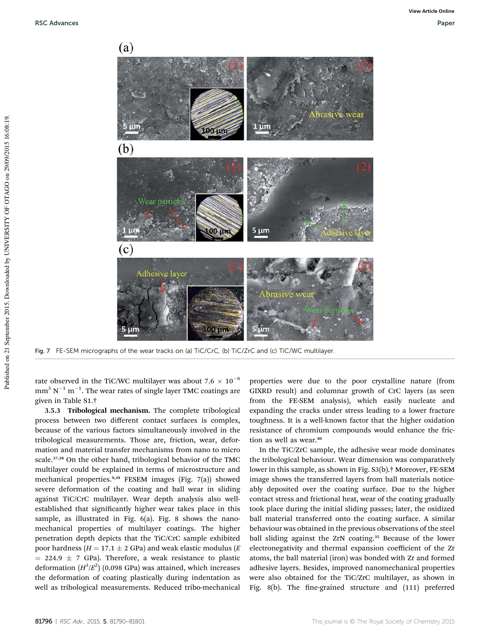

Fig. 7 FE-SEM micrographs of the wear tracks on (a) TiC/CrC, (b) TiC/ZrC and (c) TiC/WC multilayer.

rate observed in the TiC/WC multilayer was about 7.6  $\times$  10<sup>-6</sup>  $\mathrm{mm}^{3}$  N $^{-1}$  m $^{-1}$ . The wear rates of single layer TMC coatings are given in Table S1.†

3.5.3 Tribological mechanism. The complete tribological process between two different contact surfaces is complex, because of the various factors simultaneously involved in the tribological measurements. Those are, friction, wear, deformation and material transfer mechanisms from nano to micro scale.<sup>37,38</sup> On the other hand, tribological behavior of the TMC multilayer could be explained in terms of microstructure and mechanical properties.<sup>9,39</sup> FESEM images (Fig. 7(a)) showed severe deformation of the coating and ball wear in sliding against TiC/CrC multilayer. Wear depth analysis also wellestablished that significantly higher wear takes place in this sample, as illustrated in Fig. 6(a). Fig. 8 shows the nanomechanical properties of multilayer coatings. The higher penetration depth depicts that the TiC/CrC sample exhibited poor hardness ( $H = 17.1 \pm 2$  GPa) and weak elastic modulus ( $E$  $= 224.9 \pm 7$  GPa). Therefore, a weak resistance to plastic deformation  $(H^3/E^2)$  (0.098 GPa) was attained, which increases the deformation of coating plastically during indentation as well as tribological measurements. Reduced tribo-mechanical

properties were due to the poor crystalline nature (from GIXRD result) and columnar growth of CrC layers (as seen from the FE-SEM analysis), which easily nucleate and expanding the cracks under stress leading to a lower fracture toughness. It is a well-known factor that the higher oxidation resistance of chromium compounds would enhance the friction as well as wear.<sup>40</sup>

In the TiC/ZrC sample, the adhesive wear mode dominates the tribological behaviour. Wear dimension was comparatively lower in this sample, as shown in Fig. S3(b).† Moreover, FE-SEM image shows the transferred layers from ball materials noticeably deposited over the coating surface. Due to the higher contact stress and frictional heat, wear of the coating gradually took place during the initial sliding passes; later, the oxidized ball material transferred onto the coating surface. A similar behaviour was obtained in the previous observations of the steel ball sliding against the ZrN coating.<sup>35</sup> Because of the lower electronegativity and thermal expansion coefficient of the Zr atoms, the ball material (iron) was bonded with Zr and formed adhesive layers. Besides, improved nanomechanical properties were also obtained for the TiC/ZrC multilayer, as shown in Fig. 8(b). The fine-grained structure and (111) preferred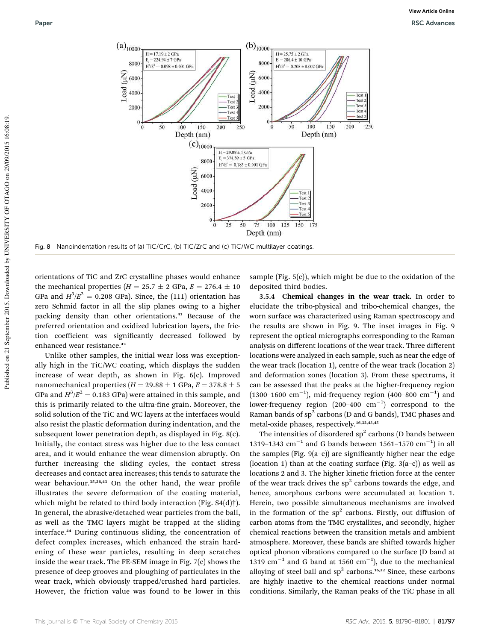

orientations of TiC and ZrC crystalline phases would enhance the mechanical properties ( $H = 25.7 \pm 2$  GPa,  $E = 276.4 \pm 10$ GPa and  $H^3/E^2 = 0.208$  GPa). Since, the (111) orientation has zero Schmid factor in all the slip planes owing to a higher packing density than other orientations.<sup>41</sup> Because of the preferred orientation and oxidized lubrication layers, the friction coefficient was significantly decreased followed by enhanced wear resistance.<sup>42</sup>

Unlike other samples, the initial wear loss was exceptionally high in the TiC/WC coating, which displays the sudden increase of wear depth, as shown in Fig. 6(c). Improved nanomechanical properties ( $H = 29.88 \pm 1$  GPa,  $E = 378.8 \pm 5$ GPa and  $H^3/E^2 = 0.183$  GPa) were attained in this sample, and this is primarily related to the ultra-fine grain. Moreover, the solid solution of the TiC and WC layers at the interfaces would also resist the plastic deformation during indentation, and the subsequent lower penetration depth, as displayed in Fig. 8(c). Initially, the contact stress was higher due to the less contact area, and it would enhance the wear dimension abruptly. On further increasing the sliding cycles, the contact stress decreases and contact area increases; this tends to saturate the wear behaviour.<sup>35,36,43</sup> On the other hand, the wear profile illustrates the severe deformation of the coating material, which might be related to third body interaction (Fig. S4(d)†). In general, the abrasive/detached wear particles from the ball, as well as the TMC layers might be trapped at the sliding interface.<sup>44</sup> During continuous sliding, the concentration of defect complex increases, which enhanced the strain hardening of these wear particles, resulting in deep scratches inside the wear track. The FE-SEM image in Fig. 7(c) shows the presence of deep grooves and ploughing of particulates in the wear track, which obviously trapped/crushed hard particles. However, the friction value was found to be lower in this

sample (Fig. 5(c)), which might be due to the oxidation of the deposited third bodies.

3.5.4 Chemical changes in the wear track. In order to elucidate the tribo-physical and tribo-chemical changes, the worn surface was characterized using Raman spectroscopy and the results are shown in Fig. 9. The inset images in Fig. 9 represent the optical micrographs corresponding to the Raman analysis on different locations of the wear track. Three different locations were analyzed in each sample, such as near the edge of the wear track (location 1), centre of the wear track (location 2) and deformation zones (location 3). From these spectrums, it can be assessed that the peaks at the higher-frequency region  $(1300-1600 \text{ cm}^{-1})$ , mid-frequency region  $(400-800 \text{ cm}^{-1})$  and lower-frequency region  $(200-400 \text{ cm}^{-1})$  correspond to the Raman bands of  $sp^2$  carbons (D and G bands), TMC phases and metal-oxide phases, respectively.<sup>16,32,43,45</sup>

The intensities of disordered  $sp^2$  carbons (D bands between 1319–1343 cm<sup>-1</sup> and G bands between 1561–1570 cm<sup>-1</sup>) in all the samples (Fig. 9(a–c)) are signicantly higher near the edge (location 1) than at the coating surface (Fig.  $3(a-c)$ ) as well as locations 2 and 3. The higher kinetic friction force at the center of the wear track drives the  $sp<sup>2</sup>$  carbons towards the edge, and hence, amorphous carbons were accumulated at location 1. Herein, two possible simultaneous mechanisms are involved in the formation of the  $sp^2$  carbons. Firstly, out diffusion of carbon atoms from the TMC crystallites, and secondly, higher chemical reactions between the transition metals and ambient atmosphere. Moreover, these bands are shifted towards higher optical phonon vibrations compared to the surface (D band at 1319 cm<sup>-1</sup> and G band at 1560 cm<sup>-1</sup>), due to the mechanical alloying of steel ball and  $sp^2$  carbons.<sup>16,32</sup> Since, these carbons are highly inactive to the chemical reactions under normal conditions. Similarly, the Raman peaks of the TiC phase in all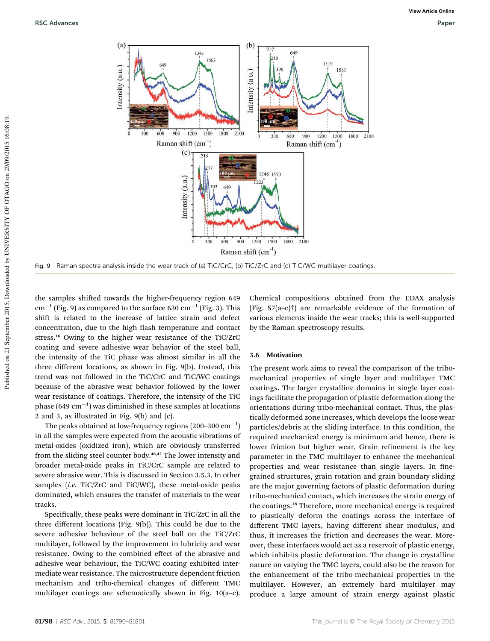

Fig. 9 Raman spectra analysis inside the wear track of (a) TiC/CrC, (b) TiC/ZrC and (c) TiC/WC multilayer coatings.

the samples shifted towards the higher-frequency region 649  $\rm cm^{-1}$  (Fig. 9) as compared to the surface 630  $\rm cm^{-1}$  (Fig. 3). This shift is related to the increase of lattice strain and defect concentration, due to the high flash temperature and contact stress.<sup>16</sup> Owing to the higher wear resistance of the TiC/ZrC coating and severe adhesive wear behavior of the steel ball, the intensity of the TiC phase was almost similar in all the three different locations, as shown in Fig. 9(b). Instead, this trend was not followed in the TiC/CrC and TiC/WC coatings because of the abrasive wear behavior followed by the lower wear resistance of coatings. Therefore, the intensity of the TiC phase  $(649 \text{ cm}^{-1})$  was diminished in these samples at locations 2 and 3, as illustrated in Fig. 9(b) and (c).

The peaks obtained at low-frequency regions (200–300  $\rm cm^{-1})$ in all the samples were expected from the acoustic vibrations of metal-oxides (oxidized iron), which are obviously transferred from the sliding steel counter body.<sup>46,47</sup> The lower intensity and broader metal-oxide peaks in TiC/CrC sample are related to severe abrasive wear. This is discussed in Section 3.5.3. In other samples (*i.e.* TiC/ZrC and TiC/WC), these metal-oxide peaks dominated, which ensures the transfer of materials to the wear tracks.

Specifically, these peaks were dominant in TiC/ZrC in all the three different locations (Fig. 9(b)). This could be due to the severe adhesive behaviour of the steel ball on the TiC/ZrC multilayer, followed by the improvement in lubricity and wear resistance. Owing to the combined effect of the abrasive and adhesive wear behaviour, the TiC/WC coating exhibited intermediate wear resistance. The microstructure dependent friction mechanism and tribo-chemical changes of different TMC multilayer coatings are schematically shown in Fig. 10(a–c).

Chemical compositions obtained from the EDAX analysis (Fig. S7(a–c)†) are remarkable evidence of the formation of various elements inside the wear tracks; this is well-supported by the Raman spectroscopy results.

#### 3.6 Motivation

The present work aims to reveal the comparison of the tribomechanical properties of single layer and multilayer TMC coatings. The larger crystalline domains in single layer coatings facilitate the propagation of plastic deformation along the orientations during tribo-mechanical contact. Thus, the plastically deformed zone increases, which develops the loose wear particles/debris at the sliding interface. In this condition, the required mechanical energy is minimum and hence, there is lower friction but higher wear. Grain refinement is the key parameter in the TMC multilayer to enhance the mechanical properties and wear resistance than single layers. In finegrained structures, grain rotation and grain boundary sliding are the major governing factors of plastic deformation during tribo-mechanical contact, which increases the strain energy of the coatings.<sup>38</sup> Therefore, more mechanical energy is required to plastically deform the coatings across the interface of different TMC layers, having different shear modulus, and thus, it increases the friction and decreases the wear. Moreover, these interfaces would act as a reservoir of plastic energy, which inhibits plastic deformation. The change in crystalline nature on varying the TMC layers, could also be the reason for the enhancement of the tribo-mechanical properties in the multilayer. However, an extremely hard multilayer may produce a large amount of strain energy against plastic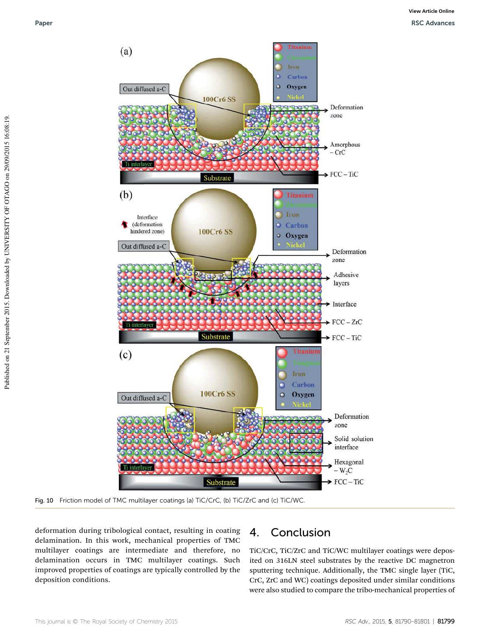

Fig. 10 Friction model of TMC multilayer coatings (a) TiC/CrC, (b) TiC/ZrC and (c) TiC/WC.

deformation during tribological contact, resulting in coating delamination. In this work, mechanical properties of TMC multilayer coatings are intermediate and therefore, no delamination occurs in TMC multilayer coatings. Such improved properties of coatings are typically controlled by the deposition conditions.

### 4. Conclusion

TiC/CrC, TiC/ZrC and TiC/WC multilayer coatings were deposited on 316LN steel substrates by the reactive DC magnetron sputtering technique. Additionally, the TMC single layer (TiC, CrC, ZrC and WC) coatings deposited under similar conditions were also studied to compare the tribo-mechanical properties of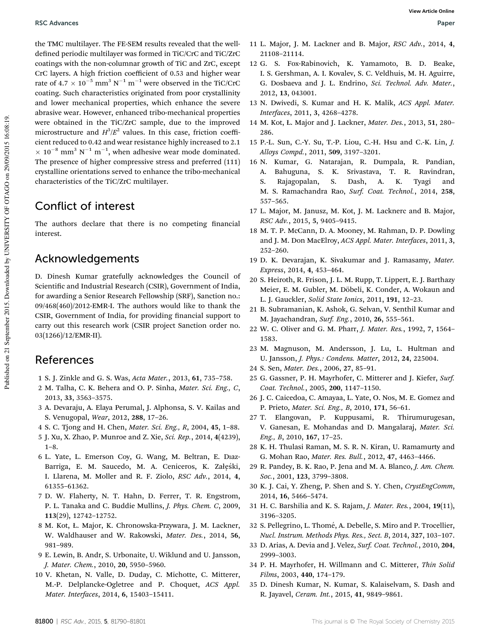the TMC multilayer. The FE-SEM results revealed that the welldefined periodic multilayer was formed in TiC/CrC and TiC/ZrC coatings with the non-columnar growth of TiC and ZrC, except CrC layers. A high friction coefficient of 0.53 and higher wear rate of  $4.7 \times 10^{-5}$  mm<sup>3</sup> N<sup>-1</sup> m<sup>-1</sup> were observed in the TiC/CrC coating. Such characteristics originated from poor crystallinity and lower mechanical properties, which enhance the severe abrasive wear. However, enhanced tribo-mechanical properties were obtained in the TiC/ZrC sample, due to the improved microstructure and  $H^3/E^2$  values. In this case, friction coefficient reduced to 0.42 and wear resistance highly increased to 2.1  $\times$  10<sup>-8</sup> mm<sup>3</sup> N<sup>-1</sup> m<sup>-1</sup>, when adhesive wear mode dominated. The presence of higher compressive stress and preferred (111) crystalline orientations served to enhance the tribo-mechanical characteristics of the TiC/ZrC multilayer.

### Conflict of interest

The authors declare that there is no competing financial interest.

### Acknowledgements

D. Dinesh Kumar gratefully acknowledges the Council of Scientific and Industrial Research (CSIR), Government of India, for awarding a Senior Research Fellowship (SRF), Sanction no.: 09/468(460)/2012-EMR-I. The authors would like to thank the CSIR, Government of India, for providing financial support to carry out this research work (CSIR project Sanction order no. 03(1266)/12/EMR-II).

### References

- 1 S. J. Zinkle and G. S. Was, *Acta Mater.*, 2013, 61, 735–758.
- 2 M. Talha, C. K. Behera and O. P. Sinha, *Mater. Sci. Eng., C*, 2013, 33, 3563–3575.
- 3 A. Devaraju, A. Elaya Perumal, J. Alphonsa, S. V. Kailas and S. Venugopal, *Wear*, 2012, 288, 17–26.
- 4 S. C. Tjong and H. Chen, *Mater. Sci. Eng., R*, 2004, 45, 1–88.
- 5 J. Xu, X. Zhao, P. Munroe and Z. Xie, *Sci. Rep.*, 2014, 4(4239), 1–8.
- 6 L. Yate, L. Emerson Coy, G. Wang, M. Beltran, E. Dıaz-Barriga, E. M. Saucedo, M. A. Ceniceros, K. Załęśki, I. Llarena, M. Moller and R. F. Ziolo, *RSC Adv.*, 2014, 4, 61355–61362.
- 7 D. W. Flaherty, N. T. Hahn, D. Ferrer, T. R. Engstrom, P. L. Tanaka and C. Buddie Mullins, *J. Phys. Chem. C*, 2009, 113(29), 12742–12752.
- 8 M. Kot, Ł. Major, K. Chronowska-Przywara, J. M. Lackner, W. Waldhauser and W. Rakowski, *Mater. Des.*, 2014, 56, 981–989.
- 9 E. Lewin, B. Andr, S. Urbonaite, U. Wiklund and U. Jansson, *J. Mater. Chem.*, 2010, 20, 5950–5960.
- 10 V. Khetan, N. Valle, D. Duday, C. Michotte, C. Mitterer, M.-P. Delplancke-Ogletree and P. Choquet, *ACS Appl. Mater. Interfaces*, 2014, 6, 15403–15411.
- 11 L. Major, J. M. Lackner and B. Major, *RSC Adv.*, 2014, 4, 21108–21114.
- 12 G. S. Fox-Rabinovich, K. Yamamoto, B. D. Beake, I. S. Gershman, A. I. Kovalev, S. C. Veldhuis, M. H. Aguirre, G. Dosbaeva and J. L. Endrino, *Sci. Technol. Adv. Mater.*, 2012, 13, 043001.
- 13 N. Dwivedi, S. Kumar and H. K. Malik, *ACS Appl. Mater. Interfaces*, 2011, 3, 4268–4278.
- 14 M. Kot, Ł. Major and J. Lackner, *Mater. Des.*, 2013, 51, 280– 286.
- 15 P.-L. Sun, C.-Y. Su, T.-P. Liou, C.-H. Hsu and C.-K. Lin, *J. Alloys Compd.*, 2011, 509, 3197–3201.
- 16 N. Kumar, G. Natarajan, R. Dumpala, R. Pandian, A. Bahuguna, S. K. Srivastava, T. R. Ravindran, S. Rajagopalan, S. Dash, A. K. Tyagi and M. S. Ramachandra Rao, *Surf. Coat. Technol.*, 2014, 258, 557–565.
- 17 L. Major, M. Janusz, M. Kot, J. M. Lacknerc and B. Major, *RSC Adv.*, 2015, 5, 9405–9415.
- 18 M. T. P. McCann, D. A. Mooney, M. Rahman, D. P. Dowling and J. M. Don MacElroy, *ACS Appl. Mater. Interfaces*, 2011, 3, 252–260.
- 19 D. K. Devarajan, K. Sivakumar and J. Ramasamy, *Mater. Express*, 2014, 4, 453–464.
- 20 S. Heiroth, R. Frison, J. L. M. Rupp, T. Lippert, E. J. Barthazy Meier, E. M. Gubler, M. Döbeli, K. Conder, A. Wokaun and L. J. Gauckler, *Solid State Ionics*, 2011, 191, 12–23.
- 21 B. Subramanian, K. Ashok, G. Selvan, V. Senthil Kumar and M. Jayachandran, *Surf. Eng.*, 2010, 26, 555–561.
- 22 W. C. Oliver and G. M. Pharr, *J. Mater. Res.*, 1992, 7, 1564– 1583.
- 23 M. Magnuson, M. Andersson, J. Lu, L. Hultman and U. Jansson, *J. Phys.: Condens. Matter*, 2012, 24, 225004.
- 24 S. Sen, *Mater. Des.*, 2006, 27, 85–91.
- 25 G. Gassner, P. H. Mayrhofer, C. Mitterer and J. Kiefer, *Surf. Coat. Technol.*, 2005, 200, 1147–1150.
- 26 J. C. Caicedoa, C. Amayaa, L. Yate, O. Nos, M. E. Gomez and P. Prieto, *Mater. Sci. Eng., B*, 2010, 171, 56–61.
- 27 T. Elangovan, P. Kuppusami, R. Thirumurugesan, V. Ganesan, E. Mohandas and D. Mangalaraj, *Mater. Sci. Eng., B*, 2010, 167, 17–25.
- 28 K. H. Thulasi Raman, M. S. R. N. Kiran, U. Ramamurty and G. Mohan Rao, *Mater. Res. Bull.*, 2012, 47, 4463–4466.
- 29 R. Pandey, B. K. Rao, P. Jena and M. A. Blanco, *J. Am. Chem. Soc.*, 2001, 123, 3799–3808.
- 30 K. J. Cai, Y. Zheng, P. Shen and S. Y. Chen, *CrystEngComm*, 2014, 16, 5466–5474.
- 31 H. C. Barshilia and K. S. Rajam, *J. Mater. Res.*, 2004, 19(11), 3196–3205.
- 32 S. Pellegrino, L. Thomé, A. Debelle, S. Miro and P. Trocellier, *Nucl. Instrum. Methods Phys. Res., Sect. B*, 2014, 327, 103–107.
- 33 D. Arias, A. Devia and J. Velez, *Surf. Coat. Technol.*, 2010, 204, 2999–3003.
- 34 P. H. Mayrhofer, H. Willmann and C. Mitterer, *Thin Solid Films*, 2003, 440, 174–179.
- 35 D. Dinesh Kumar, N. Kumar, S. Kalaiselvam, S. Dash and R. Jayavel, *Ceram. Int.*, 2015, 41, 9849–9861.